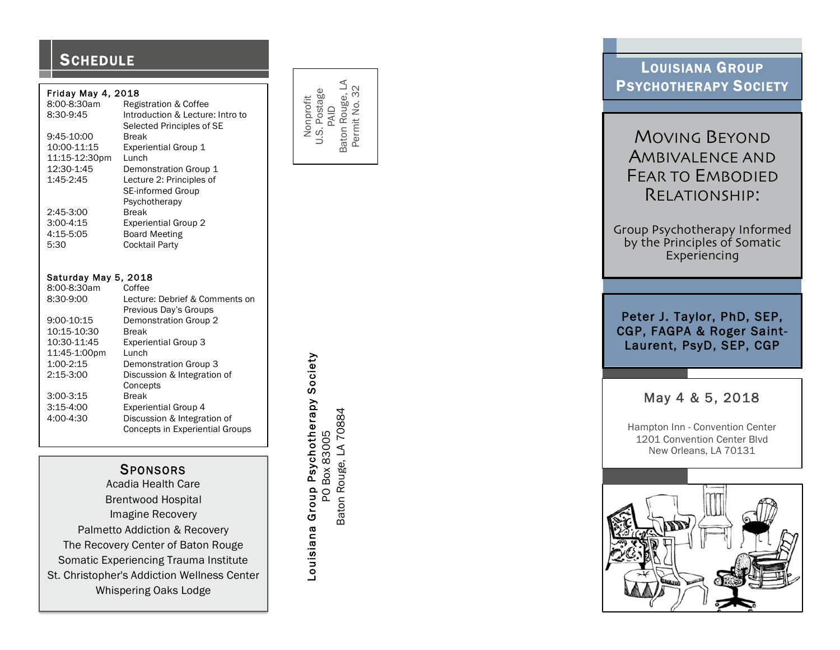## **SCHEDULE**

#### Friday May 4, 2018

| 8:00-8:30am   | <b>Registration &amp; Coffee</b> |  |  |
|---------------|----------------------------------|--|--|
| 8:30-9:45     | Introduction & Lecture: Intro to |  |  |
|               | Selected Principles of SE        |  |  |
| 9:45-10:00    | <b>Break</b>                     |  |  |
| 10:00-11:15   | <b>Experiential Group 1</b>      |  |  |
| 11:15-12:30pm | Lunch                            |  |  |
| 12:30-1:45    | Demonstration Group 1            |  |  |
| 1:45-2:45     | Lecture 2: Principles of         |  |  |
|               | <b>SE-informed Group</b>         |  |  |
|               | Psychotherapy                    |  |  |
| 2:45-3:00     | <b>Break</b>                     |  |  |
| $3:00-4:15$   | <b>Experiential Group 2</b>      |  |  |
| 4:15-5:05     | <b>Board Meeting</b>             |  |  |
| 5:30          | <b>Cocktail Party</b>            |  |  |

| Saturday May 5, 2018 |                                        |  |  |  |
|----------------------|----------------------------------------|--|--|--|
| 8:00-8:30am          | Coffee                                 |  |  |  |
| 8:30-9:00            | Lecture: Debrief & Comments on         |  |  |  |
|                      | Previous Day's Groups                  |  |  |  |
| 9:00-10:15           | Demonstration Group 2                  |  |  |  |
| 10:15-10:30          | Break                                  |  |  |  |
| 10:30-11:45          | <b>Experiential Group 3</b>            |  |  |  |
| 11:45-1:00pm         | Lunch                                  |  |  |  |
| 1:00-2:15            | Demonstration Group 3                  |  |  |  |
| $2:15-3:00$          | Discussion & Integration of            |  |  |  |
|                      | Concepts                               |  |  |  |
| $3:00-3:15$          | <b>Break</b>                           |  |  |  |
| $3:15-4:00$          | <b>Experiential Group 4</b>            |  |  |  |
| 4:00-4:30            | Discussion & Integration of            |  |  |  |
|                      | <b>Concepts in Experiential Groups</b> |  |  |  |
|                      |                                        |  |  |  |

## **SPONSORS**

 Acadia Health Care Brentwood Hospital Imagine Recovery Palmetto Addiction & Recovery The Recovery Center of Baton Rouge Somatic Experiencing Trauma Institute St. Christopher's Addiction Wellness Center Whispering Oaks Lodge

Baton Rouge, LA Baton Rouge, LA Permit No. 32 Permit No. 32 U.S. Postage Nonprofit PAID

> Louisiana Group Psychotherapy Society Louisiana Group Psychotherapy Society Baton Rouge, LA 70884 Baton Rouge, LA 70884 PO Box 83005 PO Box 83005

## LOUISIANA GROUP PSYCHOTHERAPY SOCIETY

# MOVING BEYOND AMBIVALENCE AND<br>FEAR TO EMBODIED<br>RELATIONSHIP:

Group Psychotherapy Informed by the Principles of Somatic Experiencing

Peter J. Taylor, PhD, SEP, CGP, FAGPA & Roger Saint - Laurent, PsyD, SEP, CGP

## May 4 & 5, 2018

 Hampton Inn - Convention Center 1201 Convention Center Blvd New Orleans, LA 70131